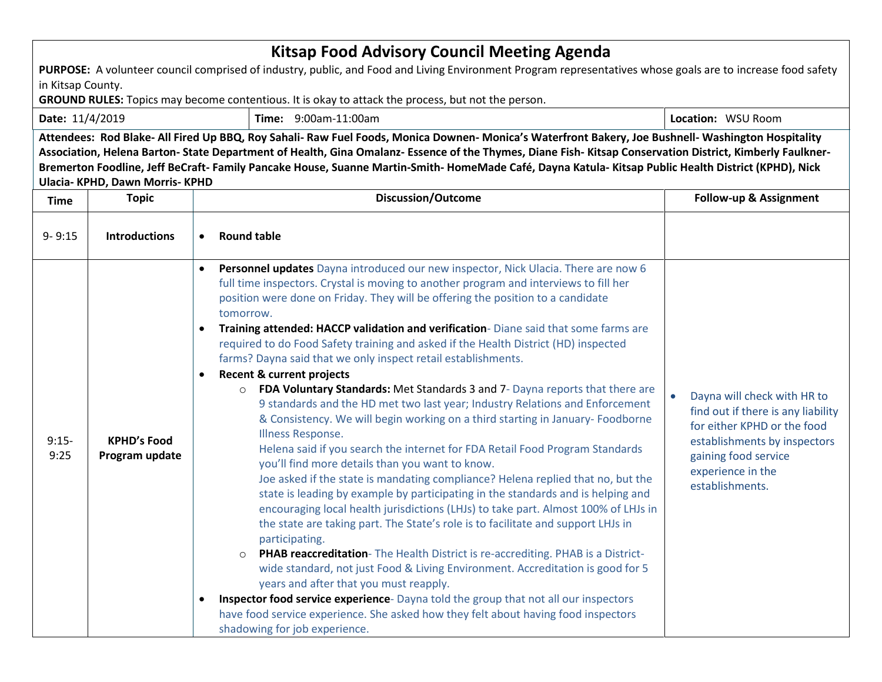| <b>Kitsap Food Advisory Council Meeting Agenda</b>                                                                                                                                                                                                                                                                                                                                                                                                                                                          |                                      |                                                                                                                                                                                                                                                                                                                                                                                                                                                                                                                                                                                                                                                                                                                                                                                                                                                                                                                                                                                                                                                                                                                                                                                                                                                                                                                                                                                                                                                                                                                                                                                                                                                                                                                                                                                                                  |                                                                                                                                                                                                               |  |  |  |  |  |
|-------------------------------------------------------------------------------------------------------------------------------------------------------------------------------------------------------------------------------------------------------------------------------------------------------------------------------------------------------------------------------------------------------------------------------------------------------------------------------------------------------------|--------------------------------------|------------------------------------------------------------------------------------------------------------------------------------------------------------------------------------------------------------------------------------------------------------------------------------------------------------------------------------------------------------------------------------------------------------------------------------------------------------------------------------------------------------------------------------------------------------------------------------------------------------------------------------------------------------------------------------------------------------------------------------------------------------------------------------------------------------------------------------------------------------------------------------------------------------------------------------------------------------------------------------------------------------------------------------------------------------------------------------------------------------------------------------------------------------------------------------------------------------------------------------------------------------------------------------------------------------------------------------------------------------------------------------------------------------------------------------------------------------------------------------------------------------------------------------------------------------------------------------------------------------------------------------------------------------------------------------------------------------------------------------------------------------------------------------------------------------------|---------------------------------------------------------------------------------------------------------------------------------------------------------------------------------------------------------------|--|--|--|--|--|
| PURPOSE: A volunteer council comprised of industry, public, and Food and Living Environment Program representatives whose goals are to increase food safety                                                                                                                                                                                                                                                                                                                                                 |                                      |                                                                                                                                                                                                                                                                                                                                                                                                                                                                                                                                                                                                                                                                                                                                                                                                                                                                                                                                                                                                                                                                                                                                                                                                                                                                                                                                                                                                                                                                                                                                                                                                                                                                                                                                                                                                                  |                                                                                                                                                                                                               |  |  |  |  |  |
| in Kitsap County.                                                                                                                                                                                                                                                                                                                                                                                                                                                                                           |                                      |                                                                                                                                                                                                                                                                                                                                                                                                                                                                                                                                                                                                                                                                                                                                                                                                                                                                                                                                                                                                                                                                                                                                                                                                                                                                                                                                                                                                                                                                                                                                                                                                                                                                                                                                                                                                                  |                                                                                                                                                                                                               |  |  |  |  |  |
| <b>GROUND RULES:</b> Topics may become contentious. It is okay to attack the process, but not the person.                                                                                                                                                                                                                                                                                                                                                                                                   |                                      |                                                                                                                                                                                                                                                                                                                                                                                                                                                                                                                                                                                                                                                                                                                                                                                                                                                                                                                                                                                                                                                                                                                                                                                                                                                                                                                                                                                                                                                                                                                                                                                                                                                                                                                                                                                                                  |                                                                                                                                                                                                               |  |  |  |  |  |
| Date: 11/4/2019                                                                                                                                                                                                                                                                                                                                                                                                                                                                                             |                                      | Time: 9:00am-11:00am                                                                                                                                                                                                                                                                                                                                                                                                                                                                                                                                                                                                                                                                                                                                                                                                                                                                                                                                                                                                                                                                                                                                                                                                                                                                                                                                                                                                                                                                                                                                                                                                                                                                                                                                                                                             | Location: WSU Room                                                                                                                                                                                            |  |  |  |  |  |
| Attendees: Rod Blake- All Fired Up BBQ, Roy Sahali- Raw Fuel Foods, Monica Downen- Monica's Waterfront Bakery, Joe Bushnell- Washington Hospitality<br>Association, Helena Barton- State Department of Health, Gina Omalanz- Essence of the Thymes, Diane Fish- Kitsap Conservation District, Kimberly Faulkner-<br>Bremerton Foodline, Jeff BeCraft- Family Pancake House, Suanne Martin-Smith- HomeMade Café, Dayna Katula- Kitsap Public Health District (KPHD), Nick<br>Ulacia- KPHD, Dawn Morris- KPHD |                                      |                                                                                                                                                                                                                                                                                                                                                                                                                                                                                                                                                                                                                                                                                                                                                                                                                                                                                                                                                                                                                                                                                                                                                                                                                                                                                                                                                                                                                                                                                                                                                                                                                                                                                                                                                                                                                  |                                                                                                                                                                                                               |  |  |  |  |  |
| <b>Time</b>                                                                                                                                                                                                                                                                                                                                                                                                                                                                                                 | <b>Topic</b>                         | <b>Discussion/Outcome</b>                                                                                                                                                                                                                                                                                                                                                                                                                                                                                                                                                                                                                                                                                                                                                                                                                                                                                                                                                                                                                                                                                                                                                                                                                                                                                                                                                                                                                                                                                                                                                                                                                                                                                                                                                                                        | Follow-up & Assignment                                                                                                                                                                                        |  |  |  |  |  |
| $9 - 9:15$                                                                                                                                                                                                                                                                                                                                                                                                                                                                                                  | <b>Introductions</b>                 | <b>Round table</b><br>$\bullet$                                                                                                                                                                                                                                                                                                                                                                                                                                                                                                                                                                                                                                                                                                                                                                                                                                                                                                                                                                                                                                                                                                                                                                                                                                                                                                                                                                                                                                                                                                                                                                                                                                                                                                                                                                                  |                                                                                                                                                                                                               |  |  |  |  |  |
| $9:15-$<br>9:25                                                                                                                                                                                                                                                                                                                                                                                                                                                                                             | <b>KPHD's Food</b><br>Program update | Personnel updates Dayna introduced our new inspector, Nick Ulacia. There are now 6<br>full time inspectors. Crystal is moving to another program and interviews to fill her<br>position were done on Friday. They will be offering the position to a candidate<br>tomorrow.<br>Training attended: HACCP validation and verification- Diane said that some farms are<br>required to do Food Safety training and asked if the Health District (HD) inspected<br>farms? Dayna said that we only inspect retail establishments.<br><b>Recent &amp; current projects</b><br>$\bullet$<br>FDA Voluntary Standards: Met Standards 3 and 7- Dayna reports that there are<br>$\circ$<br>9 standards and the HD met two last year; Industry Relations and Enforcement<br>& Consistency. We will begin working on a third starting in January-Foodborne<br>Illness Response.<br>Helena said if you search the internet for FDA Retail Food Program Standards<br>you'll find more details than you want to know.<br>Joe asked if the state is mandating compliance? Helena replied that no, but the<br>state is leading by example by participating in the standards and is helping and<br>encouraging local health jurisdictions (LHJs) to take part. Almost 100% of LHJs in<br>the state are taking part. The State's role is to facilitate and support LHJs in<br>participating.<br>PHAB reaccreditation- The Health District is re-accrediting. PHAB is a District-<br>$\circ$<br>wide standard, not just Food & Living Environment. Accreditation is good for 5<br>years and after that you must reapply.<br>Inspector food service experience- Dayna told the group that not all our inspectors<br>have food service experience. She asked how they felt about having food inspectors<br>shadowing for job experience. | Dayna will check with HR to<br>$\bullet$<br>find out if there is any liability<br>for either KPHD or the food<br>establishments by inspectors<br>gaining food service<br>experience in the<br>establishments. |  |  |  |  |  |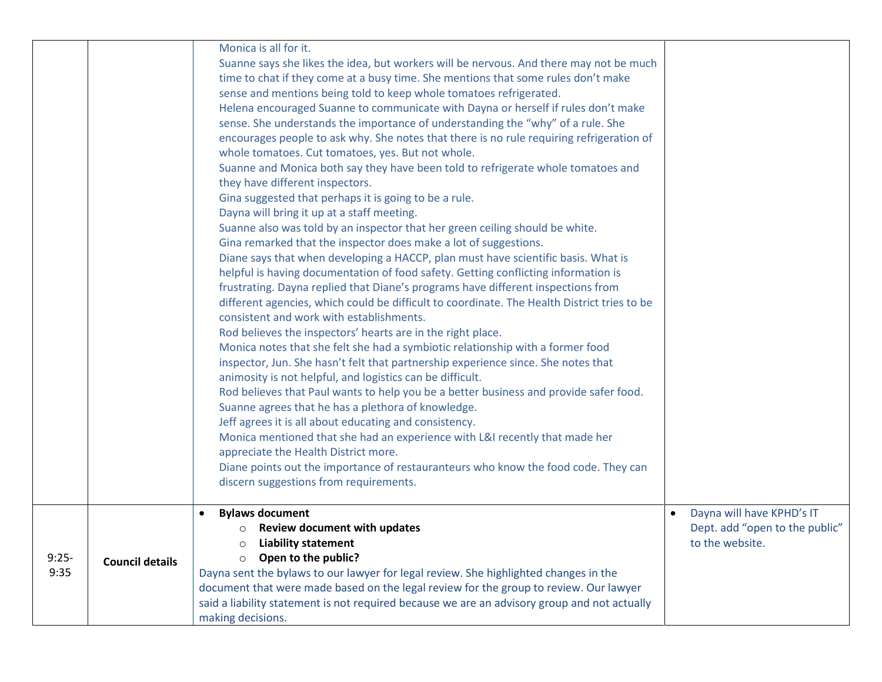|                 |                        | Monica is all for it.<br>Suanne says she likes the idea, but workers will be nervous. And there may not be much<br>time to chat if they come at a busy time. She mentions that some rules don't make<br>sense and mentions being told to keep whole tomatoes refrigerated.<br>Helena encouraged Suanne to communicate with Dayna or herself if rules don't make<br>sense. She understands the importance of understanding the "why" of a rule. She<br>encourages people to ask why. She notes that there is no rule requiring refrigeration of<br>whole tomatoes. Cut tomatoes, yes. But not whole.<br>Suanne and Monica both say they have been told to refrigerate whole tomatoes and<br>they have different inspectors.<br>Gina suggested that perhaps it is going to be a rule.<br>Dayna will bring it up at a staff meeting.<br>Suanne also was told by an inspector that her green ceiling should be white.<br>Gina remarked that the inspector does make a lot of suggestions.<br>Diane says that when developing a HACCP, plan must have scientific basis. What is<br>helpful is having documentation of food safety. Getting conflicting information is<br>frustrating. Dayna replied that Diane's programs have different inspections from<br>different agencies, which could be difficult to coordinate. The Health District tries to be<br>consistent and work with establishments.<br>Rod believes the inspectors' hearts are in the right place.<br>Monica notes that she felt she had a symbiotic relationship with a former food<br>inspector, Jun. She hasn't felt that partnership experience since. She notes that<br>animosity is not helpful, and logistics can be difficult.<br>Rod believes that Paul wants to help you be a better business and provide safer food.<br>Suanne agrees that he has a plethora of knowledge.<br>Jeff agrees it is all about educating and consistency.<br>Monica mentioned that she had an experience with L&I recently that made her<br>appreciate the Health District more.<br>Diane points out the importance of restauranteurs who know the food code. They can<br>discern suggestions from requirements. |           |                                                                                |
|-----------------|------------------------|--------------------------------------------------------------------------------------------------------------------------------------------------------------------------------------------------------------------------------------------------------------------------------------------------------------------------------------------------------------------------------------------------------------------------------------------------------------------------------------------------------------------------------------------------------------------------------------------------------------------------------------------------------------------------------------------------------------------------------------------------------------------------------------------------------------------------------------------------------------------------------------------------------------------------------------------------------------------------------------------------------------------------------------------------------------------------------------------------------------------------------------------------------------------------------------------------------------------------------------------------------------------------------------------------------------------------------------------------------------------------------------------------------------------------------------------------------------------------------------------------------------------------------------------------------------------------------------------------------------------------------------------------------------------------------------------------------------------------------------------------------------------------------------------------------------------------------------------------------------------------------------------------------------------------------------------------------------------------------------------------------------------------------------------------------------------------------------------------------------------------------------------------------------------|-----------|--------------------------------------------------------------------------------|
| $9:25-$<br>9:35 | <b>Council details</b> | <b>Bylaws document</b><br><b>Review document with updates</b><br>$\circ$<br><b>Liability statement</b><br>Open to the public?<br>$\circ$<br>Dayna sent the bylaws to our lawyer for legal review. She highlighted changes in the<br>document that were made based on the legal review for the group to review. Our lawyer<br>said a liability statement is not required because we are an advisory group and not actually<br>making decisions.                                                                                                                                                                                                                                                                                                                                                                                                                                                                                                                                                                                                                                                                                                                                                                                                                                                                                                                                                                                                                                                                                                                                                                                                                                                                                                                                                                                                                                                                                                                                                                                                                                                                                                                     | $\bullet$ | Dayna will have KPHD's IT<br>Dept. add "open to the public"<br>to the website. |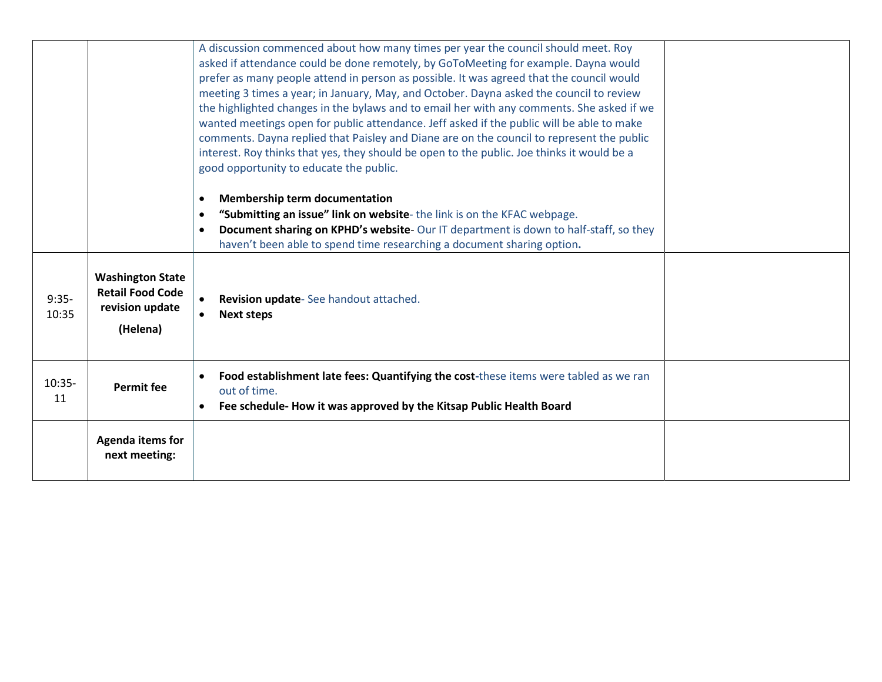|                  |                                                                                   | A discussion commenced about how many times per year the council should meet. Roy<br>asked if attendance could be done remotely, by GoToMeeting for example. Dayna would<br>prefer as many people attend in person as possible. It was agreed that the council would<br>meeting 3 times a year; in January, May, and October. Dayna asked the council to review<br>the highlighted changes in the bylaws and to email her with any comments. She asked if we<br>wanted meetings open for public attendance. Jeff asked if the public will be able to make<br>comments. Dayna replied that Paisley and Diane are on the council to represent the public<br>interest. Roy thinks that yes, they should be open to the public. Joe thinks it would be a<br>good opportunity to educate the public. |  |
|------------------|-----------------------------------------------------------------------------------|-------------------------------------------------------------------------------------------------------------------------------------------------------------------------------------------------------------------------------------------------------------------------------------------------------------------------------------------------------------------------------------------------------------------------------------------------------------------------------------------------------------------------------------------------------------------------------------------------------------------------------------------------------------------------------------------------------------------------------------------------------------------------------------------------|--|
|                  |                                                                                   | <b>Membership term documentation</b><br>$\bullet$<br>"Submitting an issue" link on website-the link is on the KFAC webpage.<br>$\bullet$<br>Document sharing on KPHD's website- Our IT department is down to half-staff, so they<br>$\bullet$<br>haven't been able to spend time researching a document sharing option.                                                                                                                                                                                                                                                                                                                                                                                                                                                                         |  |
| $9:35-$<br>10:35 | <b>Washington State</b><br><b>Retail Food Code</b><br>revision update<br>(Helena) | Revision update-See handout attached.<br><b>Next steps</b>                                                                                                                                                                                                                                                                                                                                                                                                                                                                                                                                                                                                                                                                                                                                      |  |
| $10:35-$<br>11   | <b>Permit fee</b>                                                                 | Food establishment late fees: Quantifying the cost-these items were tabled as we ran<br>out of time.<br>Fee schedule- How it was approved by the Kitsap Public Health Board<br>$\bullet$                                                                                                                                                                                                                                                                                                                                                                                                                                                                                                                                                                                                        |  |
|                  | <b>Agenda items for</b><br>next meeting:                                          |                                                                                                                                                                                                                                                                                                                                                                                                                                                                                                                                                                                                                                                                                                                                                                                                 |  |